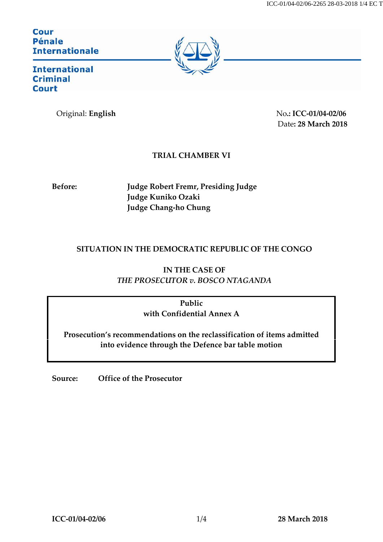**Cour Pénale Internationale** 



**International Criminal Court** 

Original: **English** No.: ICC-01/04-02/06 Date**: 28 March 2018**

## **TRIAL CHAMBER VI**

**Before: Judge Robert Fremr, Presiding Judge Judge Kuniko Ozaki Judge Chang-ho Chung**

## **SITUATION IN THE DEMOCRATIC REPUBLIC OF THE CONGO**

**IN THE CASE OF** *THE PROSECUTOR v. BOSCO NTAGANDA*

> **Public with Confidential Annex A**

**Prosecution's recommendations on the reclassification of items admitted into evidence through the Defence bar table motion**

**Source: Office of the Prosecutor**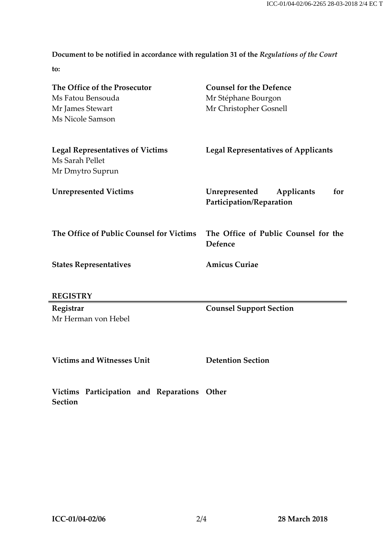**Document to be notified in accordance with regulation 31 of the** *Regulations of the Court*

**to:**

| The Office of the Prosecutor<br>Ms Fatou Bensouda<br>Mr James Stewart<br>Ms Nicole Samson | <b>Counsel for the Defence</b><br>Mr Stéphane Bourgon<br>Mr Christopher Gosnell |
|-------------------------------------------------------------------------------------------|---------------------------------------------------------------------------------|
| <b>Legal Representatives of Victims</b><br>Ms Sarah Pellet<br>Mr Dmytro Suprun            | <b>Legal Representatives of Applicants</b>                                      |
| <b>Unrepresented Victims</b>                                                              | Unrepresented<br>Applicants<br>for<br>Participation/Reparation                  |
| The Office of Public Counsel for Victims                                                  | The Office of Public Counsel for the<br>Defence                                 |
| <b>States Representatives</b>                                                             | <b>Amicus Curiae</b>                                                            |
| <b>REGISTRY</b>                                                                           |                                                                                 |
| Registrar<br>Mr Herman von Hebel                                                          | <b>Counsel Support Section</b>                                                  |
| <b>Victims and Witnesses Unit</b>                                                         | <b>Detention Section</b>                                                        |

**Victims Participation and Reparations Other Section**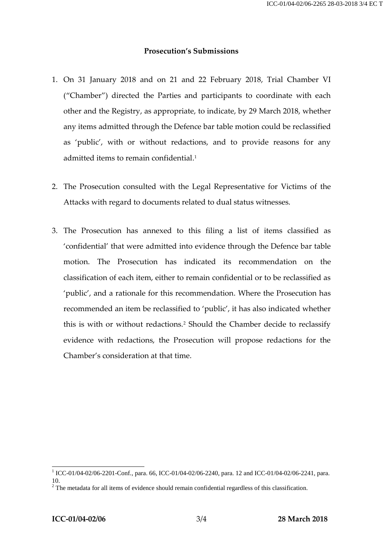## **Prosecution's Submissions**

- 1. On 31 January 2018 and on 21 and 22 February 2018, Trial Chamber VI ("Chamber") directed the Parties and participants to coordinate with each other and the Registry, as appropriate, to indicate, by 29 March 2018, whether any items admitted through the Defence bar table motion could be reclassified as 'public', with or without redactions, and to provide reasons for any admitted items to remain confidential.<sup>1</sup>
- 2. The Prosecution consulted with the Legal Representative for Victims of the Attacks with regard to documents related to dual status witnesses.
- 3. The Prosecution has annexed to this filing a list of items classified as 'confidential' that were admitted into evidence through the Defence bar table motion. The Prosecution has indicated its recommendation on the classification of each item, either to remain confidential or to be reclassified as 'public', and a rationale for this recommendation. Where the Prosecution has recommended an item be reclassified to 'public', it has also indicated whether this is with or without redactions.<sup>2</sup> Should the Chamber decide to reclassify evidence with redactions, the Prosecution will propose redactions for the Chamber's consideration at that time.

<sup>1</sup> ICC-01/04-02/06-2201-Conf., para. 66, ICC-01/04-02/06-2240, para. 12 and ICC-01/04-02/06-2241, para.

 $1<sup>2</sup>$  The metadata for all items of evidence should remain confidential regardless of this classification.